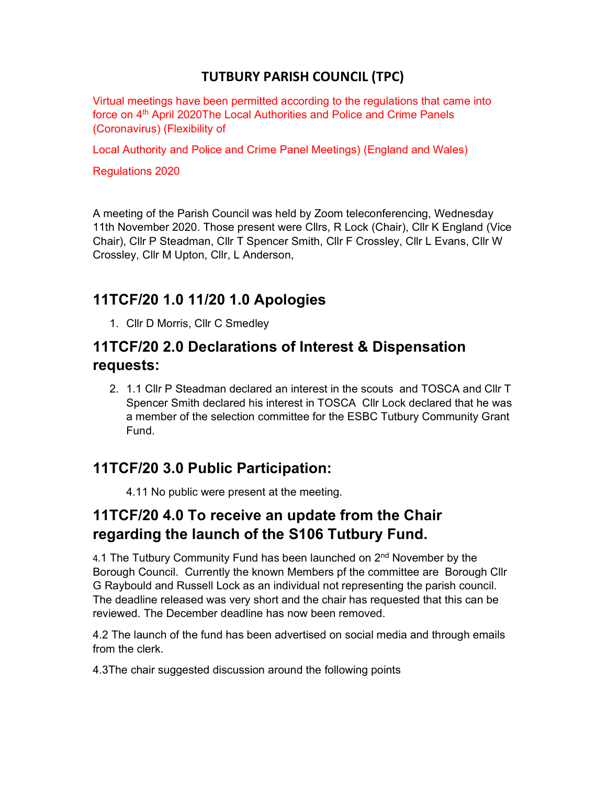#### TUTBURY PARISH COUNCIL (TPC)

Virtual meetings have been permitted according to the regulations that came into force on 4<sup>th</sup> April 2020The Local Authorities and Police and Crime Panels (Coronavirus) (Flexibility of

Local Authority and Police and Crime Panel Meetings) (England and Wales)

Regulations 2020

A meeting of the Parish Council was held by Zoom teleconferencing, Wednesday 11th November 2020. Those present were Cllrs, R Lock (Chair), Cllr K England (Vice Chair), Cllr P Steadman, Cllr T Spencer Smith, Cllr F Crossley, Cllr L Evans, Cllr W Crossley, Cllr M Upton, Cllr, L Anderson,

## 11TCF/20 1.0 11/20 1.0 Apologies

1. Cllr D Morris, Cllr C Smedley

#### 11TCF/20 2.0 Declarations of Interest & Dispensation requests:

2. 1.1 Cllr P Steadman declared an interest in the scouts and TOSCA and Cllr T Spencer Smith declared his interest in TOSCA Cllr Lock declared that he was a member of the selection committee for the ESBC Tutbury Community Grant Fund.

## 11TCF/20 3.0 Public Participation:

4.11 No public were present at the meeting.

# 11TCF/20 4.0 To receive an update from the Chair regarding the launch of the S106 Tutbury Fund.

4.1 The Tutbury Community Fund has been launched on 2<sup>nd</sup> November by the Borough Council. Currently the known Members pf the committee are Borough Cllr G Raybould and Russell Lock as an individual not representing the parish council. The deadline released was very short and the chair has requested that this can be reviewed. The December deadline has now been removed.

4.2 The launch of the fund has been advertised on social media and through emails from the clerk.

4.3The chair suggested discussion around the following points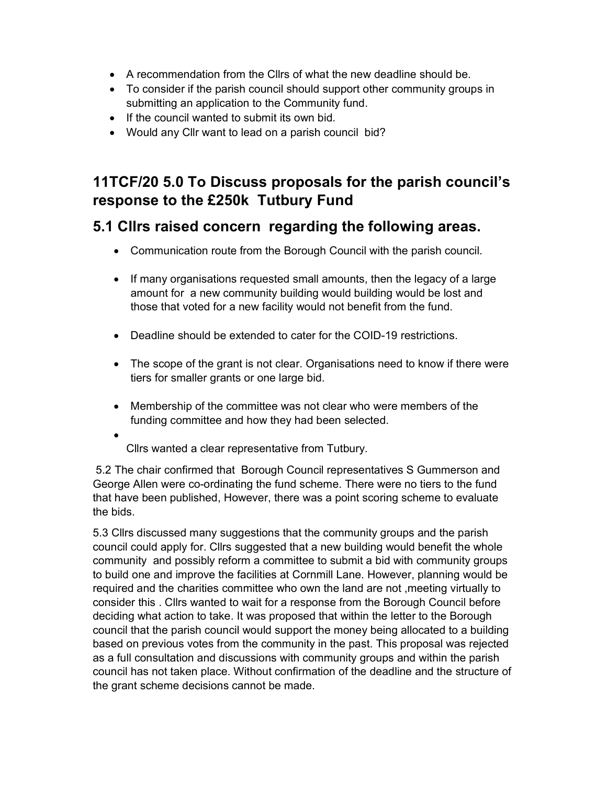- A recommendation from the Cllrs of what the new deadline should be.
- To consider if the parish council should support other community groups in submitting an application to the Community fund.
- If the council wanted to submit its own bid.
- Would any Cllr want to lead on a parish council bid?

# 11TCF/20 5.0 To Discuss proposals for the parish council's response to the £250k Tutbury Fund

#### 5.1 Cllrs raised concern regarding the following areas.

- Communication route from the Borough Council with the parish council.
- If many organisations requested small amounts, then the legacy of a large amount for a new community building would building would be lost and those that voted for a new facility would not benefit from the fund.
- Deadline should be extended to cater for the COID-19 restrictions.
- The scope of the grant is not clear. Organisations need to know if there were tiers for smaller grants or one large bid.
- Membership of the committee was not clear who were members of the funding committee and how they had been selected.
- $\bullet$ Cllrs wanted a clear representative from Tutbury.

 5.2 The chair confirmed that Borough Council representatives S Gummerson and George Allen were co-ordinating the fund scheme. There were no tiers to the fund that have been published, However, there was a point scoring scheme to evaluate the bids.

5.3 Cllrs discussed many suggestions that the community groups and the parish council could apply for. Cllrs suggested that a new building would benefit the whole community and possibly reform a committee to submit a bid with community groups to build one and improve the facilities at Cornmill Lane. However, planning would be required and the charities committee who own the land are not ,meeting virtually to consider this . Cllrs wanted to wait for a response from the Borough Council before deciding what action to take. It was proposed that within the letter to the Borough council that the parish council would support the money being allocated to a building based on previous votes from the community in the past. This proposal was rejected as a full consultation and discussions with community groups and within the parish council has not taken place. Without confirmation of the deadline and the structure of the grant scheme decisions cannot be made.